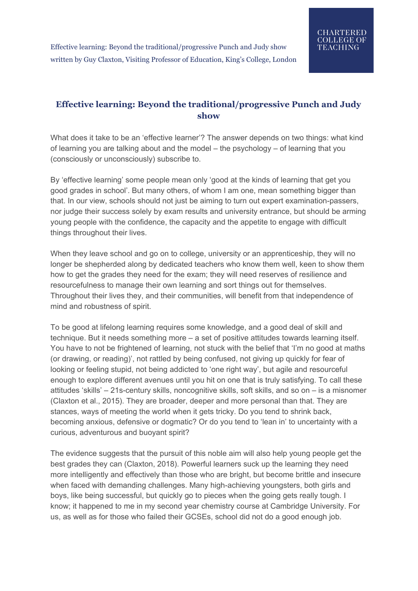## **Effective learning: Beyond the traditional/progressive Punch and Judy show**

What does it take to be an 'effective learner'? The answer depends on two things: what kind of learning you are talking about and the model – the psychology – of learning that you (consciously or unconsciously) subscribe to.

By 'effective learning' some people mean only 'good at the kinds of learning that get you good grades in school'. But many others, of whom I am one, mean something bigger than that. In our view, schools should not just be aiming to turn out expert examination-passers, nor judge their success solely by exam results and university entrance, but should be arming young people with the confidence, the capacity and the appetite to engage with difficult things throughout their lives.

When they leave school and go on to college, university or an apprenticeship, they will no longer be shepherded along by dedicated teachers who know them well, keen to show them how to get the grades they need for the exam; they will need reserves of resilience and resourcefulness to manage their own learning and sort things out for themselves. Throughout their lives they, and their communities, will benefit from that independence of mind and robustness of spirit.

To be good at lifelong learning requires some knowledge, and a good deal of skill and technique. But it needs something more – a set of positive attitudes towards learning itself. You have to not be frightened of learning, not stuck with the belief that 'I'm no good at maths (or drawing, or reading)', not rattled by being confused, not giving up quickly for fear of looking or feeling stupid, not being addicted to 'one right way', but agile and resourceful enough to explore different avenues until you hit on one that is truly satisfying. To call these attitudes 'skills' – 21s-century skills, noncognitive skills, soft skills, and so on – is a misnomer (Claxton et al., 2015). They are broader, deeper and more personal than that. They are stances, ways of meeting the world when it gets tricky. Do you tend to shrink back, becoming anxious, defensive or dogmatic? Or do you tend to 'lean in' to uncertainty with a curious, adventurous and buoyant spirit?

The evidence suggests that the pursuit of this noble aim will also help young people get the best grades they can (Claxton, 2018). Powerful learners suck up the learning they need more intelligently and effectively than those who are bright, but become brittle and insecure when faced with demanding challenges. Many high-achieving youngsters, both girls and boys, like being successful, but quickly go to pieces when the going gets really tough. I know; it happened to me in my second year chemistry course at Cambridge University. For us, as well as for those who failed their GCSEs, school did not do a good enough job.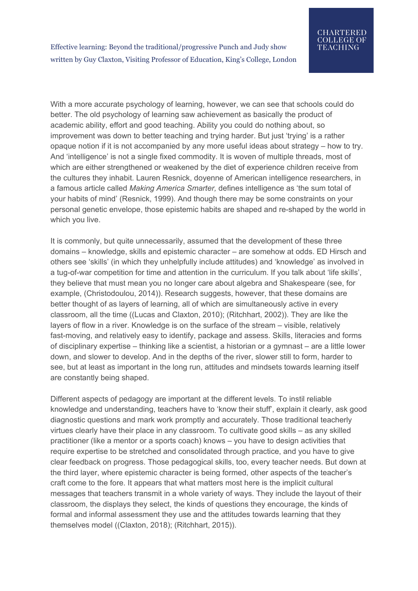With a more accurate psychology of learning, however, we can see that schools could do better. The old psychology of learning saw achievement as basically the product of academic ability, effort and good teaching. Ability you could do nothing about, so improvement was down to better teaching and trying harder. But just 'trying' is a rather opaque notion if it is not accompanied by any more useful ideas about strategy – how to try. And 'intelligence' is not a single fixed commodity. It is woven of multiple threads, most of which are either strengthened or weakened by the diet of experience children receive from the cultures they inhabit. Lauren Resnick, doyenne of American intelligence researchers, in a famous article called *Making America Smarter,* defines intelligence as 'the sum total of your habits of mind' (Resnick, 1999). And though there may be some constraints on your personal genetic envelope, those epistemic habits are shaped and re-shaped by the world in which you live.

It is commonly, but quite unnecessarily, assumed that the development of these three domains – knowledge, skills and epistemic character – are somehow at odds. ED Hirsch and others see 'skills' (in which they unhelpfully include attitudes) and 'knowledge' as involved in a tug-of-war competition for time and attention in the curriculum. If you talk about 'life skills', they believe that must mean you no longer care about algebra and Shakespeare (see, for example, (Christodoulou, 2014)). Research suggests, however, that these domains are better thought of as layers of learning, all of which are simultaneously active in every classroom, all the time ((Lucas and Claxton, 2010); (Ritchhart, 2002)). They are like the layers of flow in a river. Knowledge is on the surface of the stream – visible, relatively fast-moving, and relatively easy to identify, package and assess. Skills, literacies and forms of disciplinary expertise – thinking like a scientist, a historian or a gymnast – are a little lower down, and slower to develop. And in the depths of the river, slower still to form, harder to see, but at least as important in the long run, attitudes and mindsets towards learning itself are constantly being shaped.

Different aspects of pedagogy are important at the different levels. To instil reliable knowledge and understanding, teachers have to 'know their stuff', explain it clearly, ask good diagnostic questions and mark work promptly and accurately. Those traditional teacherly virtues clearly have their place in any classroom. To cultivate good skills – as any skilled practitioner (like a mentor or a sports coach) knows – you have to design activities that require expertise to be stretched and consolidated through practice, and you have to give clear feedback on progress. Those pedagogical skills, too, every teacher needs. But down at the third layer, where epistemic character is being formed, other aspects of the teacher's craft come to the fore. It appears that what matters most here is the implicit cultural messages that teachers transmit in a whole variety of ways. They include the layout of their classroom, the displays they select, the kinds of questions they encourage, the kinds of formal and informal assessment they use and the attitudes towards learning that they themselves model ((Claxton, 2018); (Ritchhart, 2015)).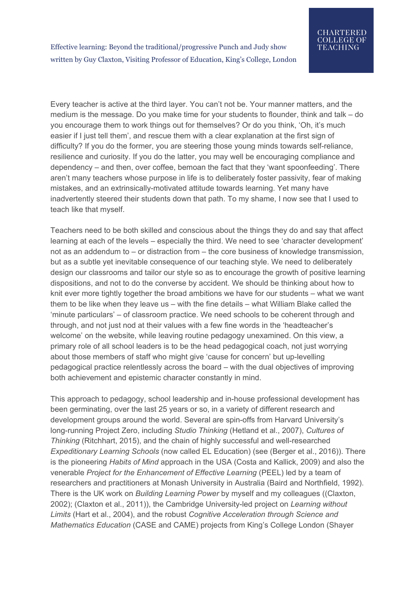Every teacher is active at the third layer. You can't not be. Your manner matters, and the medium is the message. Do you make time for your students to flounder, think and talk – do you encourage them to work things out for themselves? Or do you think, 'Oh, it's much easier if I just tell them', and rescue them with a clear explanation at the first sign of difficulty? If you do the former, you are steering those young minds towards self-reliance, resilience and curiosity. If you do the latter, you may well be encouraging compliance and dependency – and then, over coffee, bemoan the fact that they 'want spoonfeeding'. There aren't many teachers whose purpose in life is to deliberately foster passivity, fear of making mistakes, and an extrinsically-motivated attitude towards learning. Yet many have inadvertently steered their students down that path. To my shame, I now see that I used to teach like that myself.

Teachers need to be both skilled and conscious about the things they do and say that affect learning at each of the levels – especially the third. We need to see 'character development' not as an addendum to – or distraction from – the core business of knowledge transmission, but as a subtle yet inevitable consequence of our teaching style. We need to deliberately design our classrooms and tailor our style so as to encourage the growth of positive learning dispositions, and not to do the converse by accident. We should be thinking about how to knit ever more tightly together the broad ambitions we have for our students – what we want them to be like when they leave us – with the fine details – what William Blake called the 'minute particulars' – of classroom practice. We need schools to be coherent through and through, and not just nod at their values with a few fine words in the 'headteacher's welcome' on the website, while leaving routine pedagogy unexamined. On this view, a primary role of all school leaders is to be the head pedagogical coach, not just worrying about those members of staff who might give 'cause for concern' but up-levelling pedagogical practice relentlessly across the board – with the dual objectives of improving both achievement and epistemic character constantly in mind.

This approach to pedagogy, school leadership and in-house professional development has been germinating, over the last 25 years or so, in a variety of different research and development groups around the world. Several are spin-offs from Harvard University's long-running Project Zero, including *Studio Thinking* (Hetland et al., 2007), *Cultures of Thinking* (Ritchhart, 2015), and the chain of highly successful and well-researched *Expeditionary Learning Schools* (now called EL Education) (see (Berger et al., 2016)). There is the pioneering *Habits of Mind* approach in the USA (Costa and Kallick, 2009) and also the venerable *Project for the Enhancement of Effective Learning* (PEEL) led by a team of researchers and practitioners at Monash University in Australia (Baird and Northfield, 1992). There is the UK work on *Building Learning Power* by myself and my colleagues ((Claxton, 2002); (Claxton et al., 2011)), the Cambridge University-led project on *Learning without Limits* (Hart et al., 2004), and the robust *Cognitive Acceleration through Science and Mathematics Education* (CASE and CAME) projects from King's College London (Shayer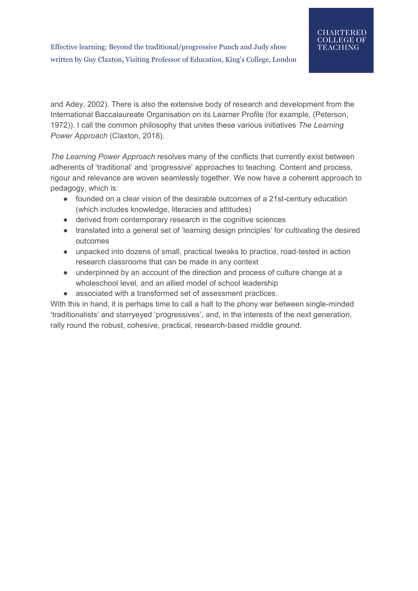and Adey, 2002). There is also the extensive body of research and development from the International Baccalaureate Organisation on its Learner Profile (for example, (Peterson, 1972)). I call the common philosophy that unites these various initiatives *The Learning Power Approach* (Claxton, 2018).

*The Learning Power Approach* resolves many of the conflicts that currently exist between adherents of 'traditional' and 'progressive' approaches to teaching. Content and process, rigour and relevance are woven seamlessly together. We now have a coherent approach to pedagogy, which is:

- founded on a clear vision of the desirable outcomes of a 21st-century education (which includes knowledge, literacies and attitudes)
- derived from contemporary research in the cognitive sciences
- translated into a general set of 'learning design principles' for cultivating the desired outcomes
- unpacked into dozens of small, practical tweaks to practice, road-tested in action research classrooms that can be made in any context
- underpinned by an account of the direction and process of culture change at a wholeschool level, and an allied model of school leadership
- associated with a transformed set of assessment practices.

With this in hand, it is perhaps time to call a halt to the phony war between single-minded 'traditionalists' and starryeyed 'progressives', and, in the interests of the next generation, rally round the robust, cohesive, practical, research-based middle ground.